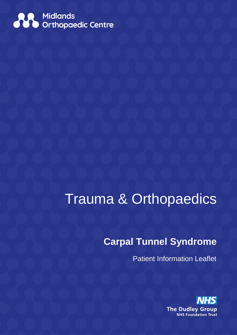

# Trauma & Orthopaedics

# **Carpal Tunnel Syndrome**

Patient Information Leaflet

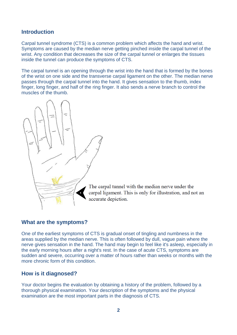# **Introduction**

Carpal tunnel syndrome (CTS) is a common problem which affects the hand and wrist. Symptoms are caused by the median nerve getting pinched inside the carpal tunnel of the wrist. Any condition that decreases the size of the carpal tunnel or enlarges the tissues inside the tunnel can produce the symptoms of CTS.

The carpal tunnel is an opening through the wrist into the hand that is formed by the bones of the wrist on one side and the transverse carpal ligament on the other. The median nerve passes through the carpal tunnel into the hand. It gives sensation to the thumb, index finger, long finger, and half of the ring finger. It also sends a nerve branch to control the muscles of the thumb.



The carpal tunnel with the median nerve under the carpal ligament. This is only for illustration, and not an accurate depiction.

## **What are the symptoms?**

One of the earliest symptoms of CTS is gradual onset of tingling and numbness in the areas supplied by the median nerve. This is often followed by dull, vague pain where the nerve gives sensation in the hand. The hand may begin to feel like it's asleep, especially in the early morning hours after a night's rest. In the case of acute CTS, symptoms are sudden and severe, occurring over a matter of hours rather than weeks or months with the more chronic form of this condition.

## **How is it diagnosed?**

Your doctor begins the evaluation by obtaining a history of the problem, followed by a thorough physical examination. Your description of the symptoms and the physical examination are the most important parts in the diagnosis of CTS.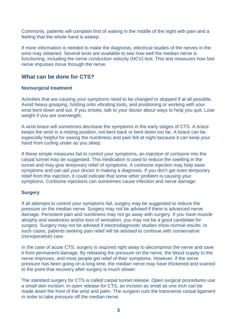Commonly, patients will complain first of waking in the middle of the night with pain and a feeling that the whole hand is asleep.

If more information is needed to make the diagnosis, electrical studies of the nerves in the wrist may obtained. Several tests are available to see how well the median nerve is functioning, including the nerve conduction velocity (NCV) test. This test measures how fast nerve impulses move through the nerve.

# **What can be done for CTS?**

#### **Nonsurgical treatment**

Activities that are causing your symptoms need to be changed or stopped if at all possible. Avoid heavy grasping, holding onto vibrating tools, and positioning or working with your wrist bent down and out. If you smoke, talk to your doctor about ways to help you quit. Lose weight if you are overweight.

A wrist brace will sometimes decrease the symptoms in the early stages of CTS. A brace keeps the wrist in a resting position, not bent back or bent down too far. A brace can be especially helpful for easing the numbness and pain felt at night because it can keep your hand from curling under as you sleep.

If these simple measures fail to control your symptoms, an injection of cortisone into the carpal tunnel may be suggested. This medication is used to reduce the swelling in the tunnel and may give temporary relief of symptoms. A cortisone injection may help ease symptoms and can aid your doctor in making a diagnosis. If you don't get even temporary relief from the injection, it could indicate that some other problem is causing your symptoms. Cortisone injections can sometimes cause infection and nerve damage.

#### **Surgery**

If all attempts to control your symptoms fail, surgery may be suggested to reduce the pressure on the median nerve. Surgery may not be advised if there is advanced nerve damage. Persistent pain and numbness may not go away with surgery. If you have muscle atrophy and weakness and/or loss of sensation, you may not be a good candidate for surgery. Surgery may not be advised if electrodiagnostic studies show normal results. In such cases, patients seeking pain relief will be advised to continue with conservative (nonoperative) care.

In the case of acute CTS, surgery is required right away to decompress the nerve and save it from permanent damage. By releasing the pressure on the nerve, the blood supply to the nerve improves, and most people get relief of their symptoms. However, if the nerve pressure has been going on a long time, the median nerve may have thickened and scarred to the point that recovery after surgery is much slower.

The standard surgery for CTS is called carpal tunnel release. Open surgical procedures use a small skin incision. In open release for CTS, an incision as small as one inch can be made down the front of the wrist and palm. The surgeon cuts the transverse carpal ligament in order to take pressure off the median nerve.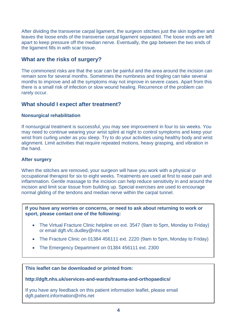After dividing the transverse carpal ligament, the surgeon stitches just the skin together and leaves the loose ends of the transverse carpal ligament separated. The loose ends are left apart to keep pressure off the median nerve. Eventually, the gap between the two ends of the ligament fills in with scar tissue.

# **What are the risks of surgery?**

The commonest risks are that the scar can be painful and the area around the incision can remain sore for several months. Sometimes the numbness and tingling can take several months to improve and all the symptoms may not improve in severe cases. Apart from this there is a small risk of infection or slow wound healing. Recurrence of the problem can rarely occur.

# **What should I expect after treatment?**

#### **Nonsurgical rehabilitation**

If nonsurgical treatment is successful, you may see improvement in four to six weeks. You may need to continue wearing your wrist splint at night to control symptoms and keep your wrist from curling under as you sleep. Try to do your activities using healthy body and wrist alignment. Limit activities that require repeated motions, heavy grasping, and vibration in the hand.

#### **After surgery**

When the stitches are removed, your surgeon will have you work with a physical or occupational therapist for six to eight weeks. Treatments are used at first to ease pain and inflammation. Gentle massage to the incision can help reduce sensitivity in and around the incision and limit scar tissue from building up. Special exercises are used to encourage normal gliding of the tendons and median nerve within the carpal tunnel.

**If you have any worries or concerns, or need to ask about returning to work or sport, please contact one of the following:** 

- The Virtual Fracture Clinic helpline on ext. 3547 (9am to 5pm, Monday to Friday) or email dgft.vfc.dudley@nhs.net
- The Fracture Clinic on 01384 456111 ext. 2220 (9am to 5pm, Monday to Friday)
- The Emergency Department on 01384 456111 ext. 2300

**This leaflet can be downloaded or printed from:**

**http://dgft.nhs.uk/services-and-wards/trauma-and-orthopaedics/**

If you have any feedback on this patient information leaflet, please email dgft.patient.information@nhs.net